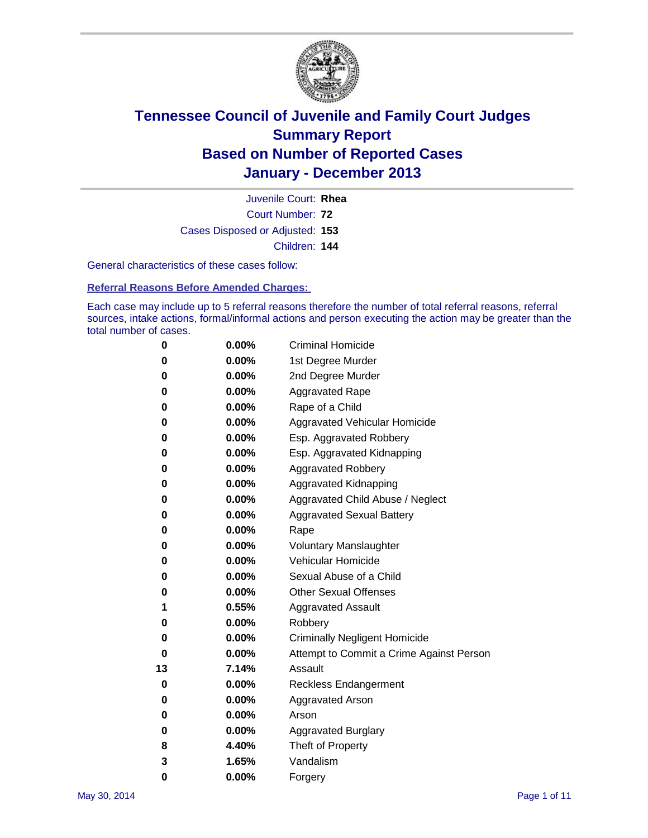

Court Number: **72** Juvenile Court: **Rhea** Cases Disposed or Adjusted: **153** Children: **144**

General characteristics of these cases follow:

**Referral Reasons Before Amended Charges:** 

Each case may include up to 5 referral reasons therefore the number of total referral reasons, referral sources, intake actions, formal/informal actions and person executing the action may be greater than the total number of cases.

| 0  | $0.00\%$ | <b>Criminal Homicide</b>                 |
|----|----------|------------------------------------------|
| 0  | 0.00%    | 1st Degree Murder                        |
| 0  | 0.00%    | 2nd Degree Murder                        |
| 0  | $0.00\%$ | <b>Aggravated Rape</b>                   |
| 0  | 0.00%    | Rape of a Child                          |
| 0  | 0.00%    | <b>Aggravated Vehicular Homicide</b>     |
| 0  | $0.00\%$ | Esp. Aggravated Robbery                  |
| 0  | 0.00%    | Esp. Aggravated Kidnapping               |
| 0  | 0.00%    | <b>Aggravated Robbery</b>                |
| 0  | $0.00\%$ | Aggravated Kidnapping                    |
| 0  | 0.00%    | Aggravated Child Abuse / Neglect         |
| 0  | 0.00%    | <b>Aggravated Sexual Battery</b>         |
| 0  | $0.00\%$ | Rape                                     |
| 0  | 0.00%    | <b>Voluntary Manslaughter</b>            |
| 0  | 0.00%    | Vehicular Homicide                       |
| 0  | $0.00\%$ | Sexual Abuse of a Child                  |
| 0  | 0.00%    | <b>Other Sexual Offenses</b>             |
| 1  | 0.55%    | <b>Aggravated Assault</b>                |
| 0  | 0.00%    | Robbery                                  |
| 0  | 0.00%    | <b>Criminally Negligent Homicide</b>     |
| 0  | 0.00%    | Attempt to Commit a Crime Against Person |
| 13 | 7.14%    | Assault                                  |
| 0  | 0.00%    | <b>Reckless Endangerment</b>             |
| 0  | 0.00%    | <b>Aggravated Arson</b>                  |
| 0  | 0.00%    | Arson                                    |
| 0  | 0.00%    | <b>Aggravated Burglary</b>               |
| 8  | 4.40%    | Theft of Property                        |
| 3  | 1.65%    | Vandalism                                |
| 0  | 0.00%    | Forgery                                  |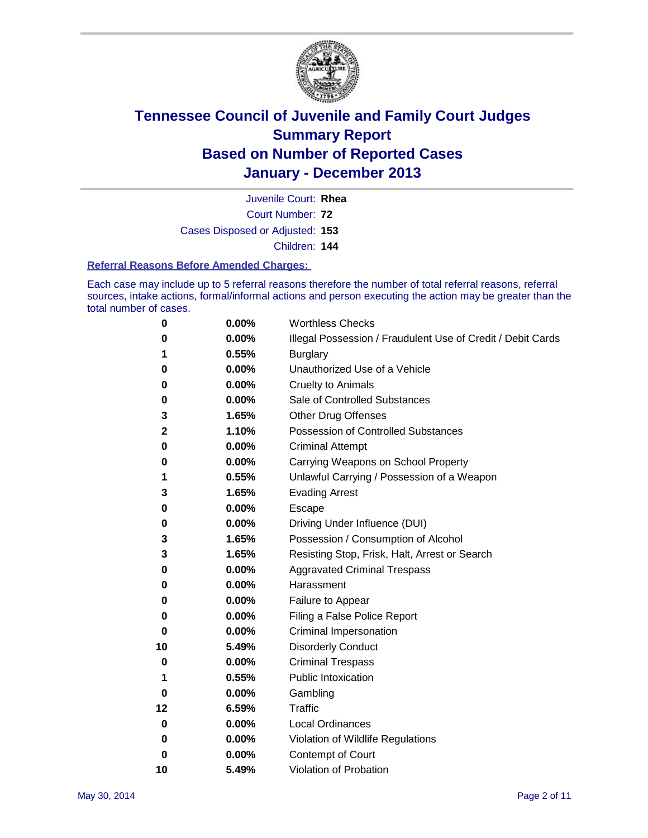

Court Number: **72** Juvenile Court: **Rhea** Cases Disposed or Adjusted: **153** Children: **144**

#### **Referral Reasons Before Amended Charges:**

Each case may include up to 5 referral reasons therefore the number of total referral reasons, referral sources, intake actions, formal/informal actions and person executing the action may be greater than the total number of cases.

| 0  | 0.00% | <b>Worthless Checks</b>                                     |
|----|-------|-------------------------------------------------------------|
| 0  | 0.00% | Illegal Possession / Fraudulent Use of Credit / Debit Cards |
| 1  | 0.55% | <b>Burglary</b>                                             |
| 0  | 0.00% | Unauthorized Use of a Vehicle                               |
| 0  | 0.00% | <b>Cruelty to Animals</b>                                   |
| 0  | 0.00% | Sale of Controlled Substances                               |
| 3  | 1.65% | <b>Other Drug Offenses</b>                                  |
| 2  | 1.10% | Possession of Controlled Substances                         |
| 0  | 0.00% | <b>Criminal Attempt</b>                                     |
| 0  | 0.00% | Carrying Weapons on School Property                         |
| 1  | 0.55% | Unlawful Carrying / Possession of a Weapon                  |
| 3  | 1.65% | <b>Evading Arrest</b>                                       |
| 0  | 0.00% | Escape                                                      |
| 0  | 0.00% | Driving Under Influence (DUI)                               |
| 3  | 1.65% | Possession / Consumption of Alcohol                         |
| 3  | 1.65% | Resisting Stop, Frisk, Halt, Arrest or Search               |
| 0  | 0.00% | <b>Aggravated Criminal Trespass</b>                         |
| 0  | 0.00% | Harassment                                                  |
| 0  | 0.00% | Failure to Appear                                           |
| 0  | 0.00% | Filing a False Police Report                                |
| 0  | 0.00% | Criminal Impersonation                                      |
| 10 | 5.49% | <b>Disorderly Conduct</b>                                   |
| 0  | 0.00% | <b>Criminal Trespass</b>                                    |
| 1  | 0.55% | <b>Public Intoxication</b>                                  |
| 0  | 0.00% | Gambling                                                    |
| 12 | 6.59% | <b>Traffic</b>                                              |
| 0  | 0.00% | <b>Local Ordinances</b>                                     |
| 0  | 0.00% | Violation of Wildlife Regulations                           |
| 0  | 0.00% | Contempt of Court                                           |
| 10 | 5.49% | Violation of Probation                                      |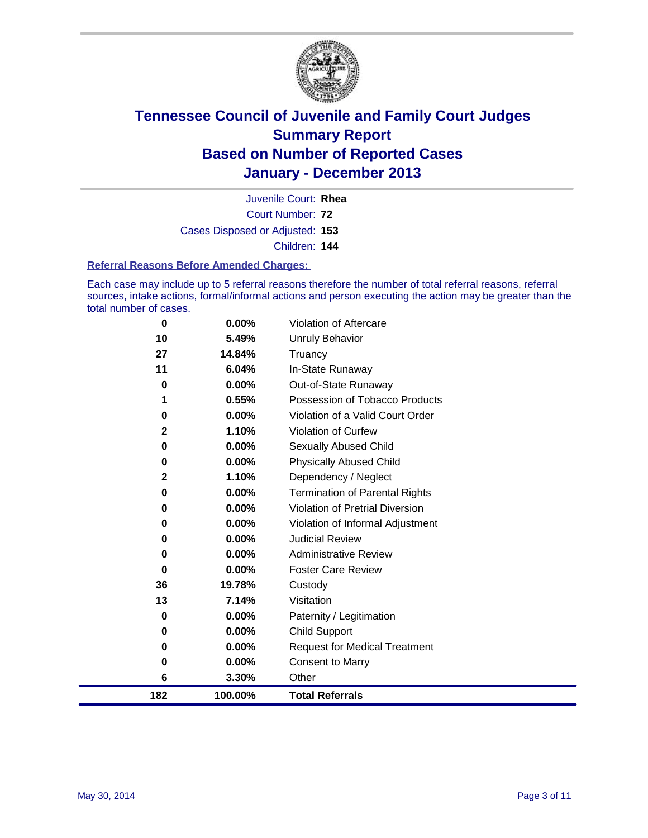

Court Number: **72** Juvenile Court: **Rhea** Cases Disposed or Adjusted: **153** Children: **144**

#### **Referral Reasons Before Amended Charges:**

Each case may include up to 5 referral reasons therefore the number of total referral reasons, referral sources, intake actions, formal/informal actions and person executing the action may be greater than the total number of cases.

| 0            | $0.00\%$ | Violation of Aftercare                |
|--------------|----------|---------------------------------------|
| 10           | 5.49%    | Unruly Behavior                       |
| 27           | 14.84%   | Truancy                               |
| 11           | 6.04%    | In-State Runaway                      |
| 0            | 0.00%    | Out-of-State Runaway                  |
| 1            | 0.55%    | Possession of Tobacco Products        |
| 0            | 0.00%    | Violation of a Valid Court Order      |
| $\mathbf{2}$ | 1.10%    | <b>Violation of Curfew</b>            |
| 0            | $0.00\%$ | Sexually Abused Child                 |
| 0            | 0.00%    | <b>Physically Abused Child</b>        |
| $\mathbf{2}$ | 1.10%    | Dependency / Neglect                  |
| 0            | 0.00%    | <b>Termination of Parental Rights</b> |
| 0            | 0.00%    | Violation of Pretrial Diversion       |
| 0            | 0.00%    | Violation of Informal Adjustment      |
| 0            | 0.00%    | <b>Judicial Review</b>                |
| 0            | 0.00%    | <b>Administrative Review</b>          |
| 0            | 0.00%    | <b>Foster Care Review</b>             |
| 36           | 19.78%   | Custody                               |
| 13           | 7.14%    | Visitation                            |
| 0            | 0.00%    | Paternity / Legitimation              |
| 0            | 0.00%    | <b>Child Support</b>                  |
| 0            | 0.00%    | <b>Request for Medical Treatment</b>  |
| 0            | 0.00%    | Consent to Marry                      |
| 6            | 3.30%    | Other                                 |
| 182          | 100.00%  | <b>Total Referrals</b>                |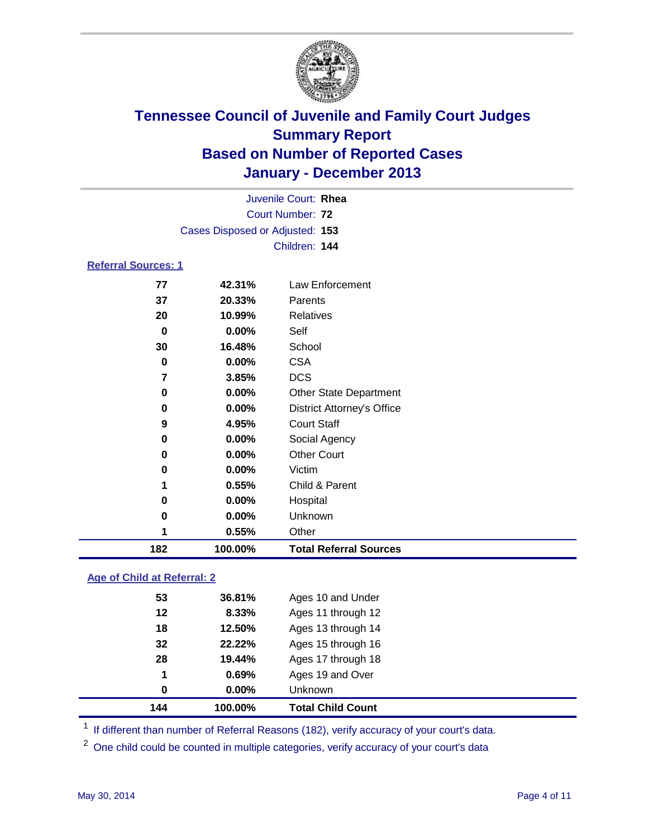

|                            |                                 | Juvenile Court: Rhea              |
|----------------------------|---------------------------------|-----------------------------------|
|                            |                                 | Court Number: 72                  |
|                            | Cases Disposed or Adjusted: 153 |                                   |
|                            |                                 | Children: 144                     |
| <b>Referral Sources: 1</b> |                                 |                                   |
| 77                         | 42.31%                          | Law Enforcement                   |
| 37                         | 20.33%                          | Parents                           |
| 20                         | 10.99%                          | <b>Relatives</b>                  |
| 0                          | 0.00%                           | Self                              |
| 30                         | 16.48%                          | School                            |
| 0                          | 0.00%                           | <b>CSA</b>                        |
| 7                          | 3.85%                           | <b>DCS</b>                        |
| 0                          | 0.00%                           | <b>Other State Department</b>     |
| 0                          | 0.00%                           | <b>District Attorney's Office</b> |
| 9                          | 4.95%                           | <b>Court Staff</b>                |
| 0                          | 0.00%                           | Social Agency                     |
| 0                          | 0.00%                           | <b>Other Court</b>                |
| 0                          | 0.00%                           | Victim                            |
| 1                          | 0.55%                           | Child & Parent                    |
| 0                          | 0.00%                           | Hospital                          |
| 0                          | 0.00%                           | Unknown                           |
| 1                          | 0.55%                           | Other                             |
| 182                        | 100.00%                         | <b>Total Referral Sources</b>     |

### **Age of Child at Referral: 2**

| 144 | 100.00%  | <b>Total Child Count</b> |
|-----|----------|--------------------------|
| 0   | $0.00\%$ | <b>Unknown</b>           |
| 1   | 0.69%    | Ages 19 and Over         |
| 28  | 19.44%   | Ages 17 through 18       |
| 32  | 22.22%   | Ages 15 through 16       |
| 18  | 12.50%   | Ages 13 through 14       |
| 12  | 8.33%    | Ages 11 through 12       |
| 53  | 36.81%   | Ages 10 and Under        |
|     |          |                          |

<sup>1</sup> If different than number of Referral Reasons (182), verify accuracy of your court's data.

<sup>2</sup> One child could be counted in multiple categories, verify accuracy of your court's data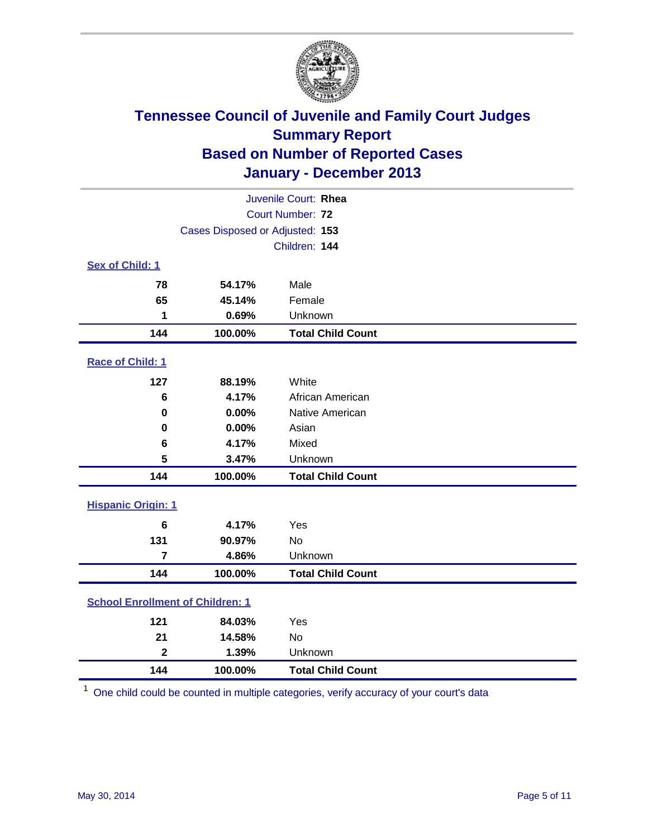

|                                         |                                 | Juvenile Court: Rhea     |
|-----------------------------------------|---------------------------------|--------------------------|
|                                         |                                 | Court Number: 72         |
|                                         | Cases Disposed or Adjusted: 153 |                          |
|                                         |                                 | Children: 144            |
| Sex of Child: 1                         |                                 |                          |
| 78                                      | 54.17%                          | Male                     |
| 65                                      | 45.14%                          | Female                   |
| 1                                       | 0.69%                           | Unknown                  |
| 144                                     | 100.00%                         | <b>Total Child Count</b> |
| Race of Child: 1                        |                                 |                          |
| 127                                     | 88.19%                          | White                    |
| 6                                       | 4.17%                           | African American         |
| 0                                       | 0.00%                           | Native American          |
| 0                                       | 0.00%                           | Asian                    |
| 6                                       | 4.17%                           | Mixed                    |
| 5                                       | 3.47%                           | Unknown                  |
| 144                                     | 100.00%                         | <b>Total Child Count</b> |
| <b>Hispanic Origin: 1</b>               |                                 |                          |
| $6\phantom{1}6$                         | 4.17%                           | Yes                      |
| 131                                     | 90.97%                          | <b>No</b>                |
| 7                                       | 4.86%                           | Unknown                  |
| 144                                     | 100.00%                         | <b>Total Child Count</b> |
| <b>School Enrollment of Children: 1</b> |                                 |                          |
| 121                                     | 84.03%                          | Yes                      |
| 21                                      | 14.58%                          | <b>No</b>                |
| $\overline{\mathbf{2}}$                 | 1.39%                           | Unknown                  |
| 144                                     | 100.00%                         | <b>Total Child Count</b> |

One child could be counted in multiple categories, verify accuracy of your court's data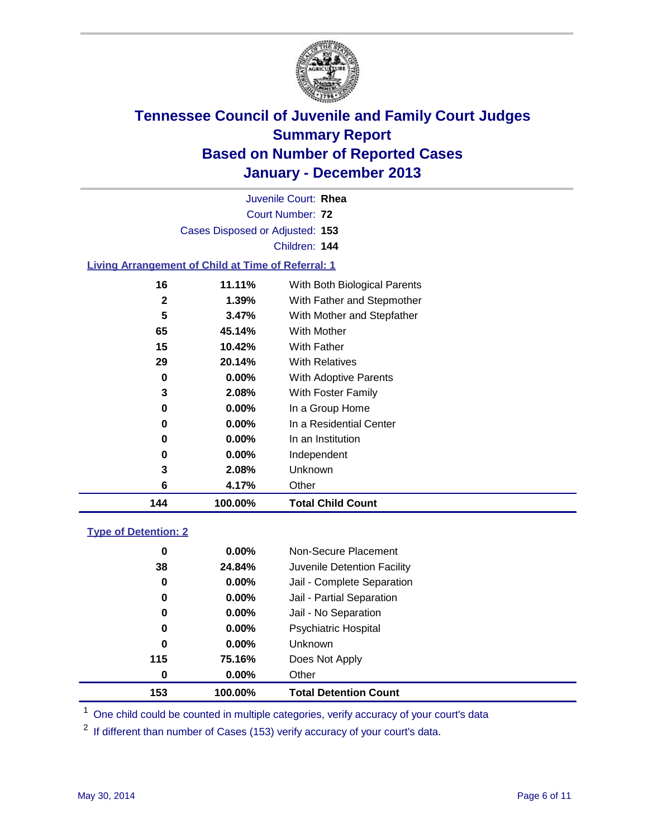

| Juvenile Court: Rhea                                                       |  |
|----------------------------------------------------------------------------|--|
| Court Number: 72                                                           |  |
| Cases Disposed or Adjusted: 153                                            |  |
| Children: 144                                                              |  |
| and Alberta and a constant of Alberta and Theory of The Company of Alberta |  |

### **Living Arrangement of Child at Time of Referral: 1**

| 144          | 100.00%  | <b>Total Child Count</b>     |
|--------------|----------|------------------------------|
| 6            | 4.17%    | Other                        |
| 3            | 2.08%    | Unknown                      |
| 0            | $0.00\%$ | Independent                  |
| 0            | 0.00%    | In an Institution            |
| 0            | $0.00\%$ | In a Residential Center      |
| 0            | $0.00\%$ | In a Group Home              |
| 3            | 2.08%    | With Foster Family           |
| 0            | 0.00%    | <b>With Adoptive Parents</b> |
| 29           | 20.14%   | <b>With Relatives</b>        |
| 15           | 10.42%   | With Father                  |
| 65           | 45.14%   | <b>With Mother</b>           |
| 5            | 3.47%    | With Mother and Stepfather   |
| $\mathbf{2}$ | $1.39\%$ | With Father and Stepmother   |
| 16           | 11.11%   | With Both Biological Parents |
|              |          |                              |

### **Type of Detention: 2**

| 153 | 100.00%  | <b>Total Detention Count</b> |  |
|-----|----------|------------------------------|--|
| 0   | 0.00%    | Other                        |  |
| 115 | 75.16%   | Does Not Apply               |  |
| 0   | $0.00\%$ | <b>Unknown</b>               |  |
| 0   | $0.00\%$ | <b>Psychiatric Hospital</b>  |  |
| 0   | $0.00\%$ | Jail - No Separation         |  |
| 0   | $0.00\%$ | Jail - Partial Separation    |  |
| 0   | $0.00\%$ | Jail - Complete Separation   |  |
| 38  | 24.84%   | Juvenile Detention Facility  |  |
| 0   | $0.00\%$ | Non-Secure Placement         |  |
|     |          |                              |  |

<sup>1</sup> One child could be counted in multiple categories, verify accuracy of your court's data

If different than number of Cases (153) verify accuracy of your court's data.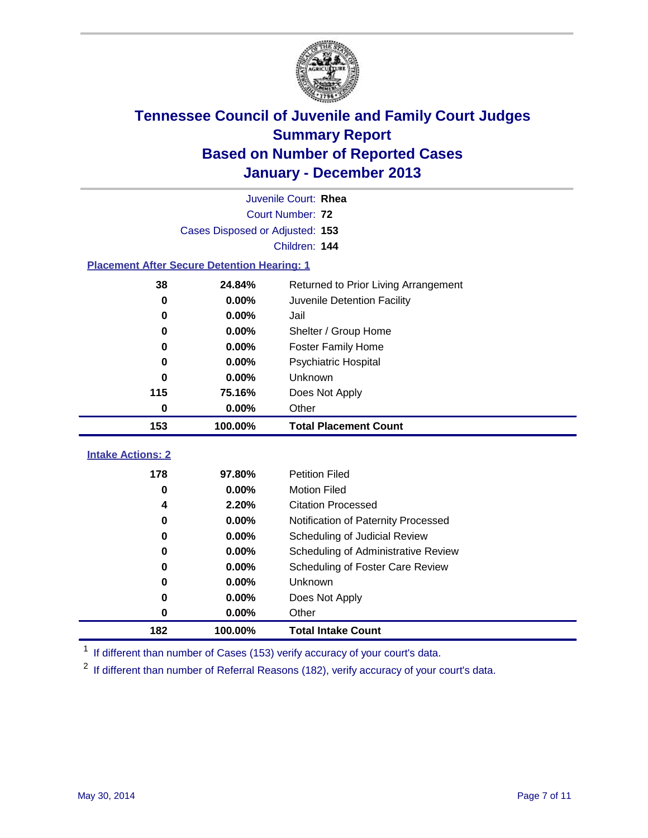

|                                                    |                                 | Juvenile Court: Rhea                 |
|----------------------------------------------------|---------------------------------|--------------------------------------|
|                                                    |                                 | Court Number: 72                     |
|                                                    | Cases Disposed or Adjusted: 153 |                                      |
|                                                    |                                 | Children: 144                        |
| <b>Placement After Secure Detention Hearing: 1</b> |                                 |                                      |
| 38                                                 | 24.84%                          | Returned to Prior Living Arrangement |
| 0                                                  | 0.00%                           | Juvenile Detention Facility          |
| 0                                                  | 0.00%                           | Jail                                 |
| 0                                                  | 0.00%                           | Shelter / Group Home                 |
| 0                                                  | 0.00%                           | <b>Foster Family Home</b>            |
| 0                                                  | 0.00%                           | Psychiatric Hospital                 |
| 0                                                  | 0.00%                           | Unknown                              |
| 115                                                | 75.16%                          | Does Not Apply                       |
| $\mathbf 0$                                        | 0.00%                           | Other                                |
| 153                                                | 100.00%                         | <b>Total Placement Count</b>         |
| <b>Intake Actions: 2</b>                           |                                 |                                      |
|                                                    |                                 |                                      |
| 178                                                | 97.80%                          | <b>Petition Filed</b>                |
| 0                                                  | 0.00%                           | <b>Motion Filed</b>                  |
| 4                                                  | 2.20%                           | <b>Citation Processed</b>            |
| 0                                                  | 0.00%                           | Notification of Paternity Processed  |
| $\bf{0}$                                           | 0.00%                           | Scheduling of Judicial Review        |
| 0                                                  | 0.00%                           | Scheduling of Administrative Review  |
| 0                                                  | 0.00%                           | Scheduling of Foster Care Review     |
| 0                                                  | 0.00%                           | Unknown                              |
| 0                                                  | 0.00%                           | Does Not Apply                       |
| 0                                                  | 0.00%                           | Other                                |
|                                                    |                                 |                                      |

<sup>1</sup> If different than number of Cases (153) verify accuracy of your court's data.

<sup>2</sup> If different than number of Referral Reasons (182), verify accuracy of your court's data.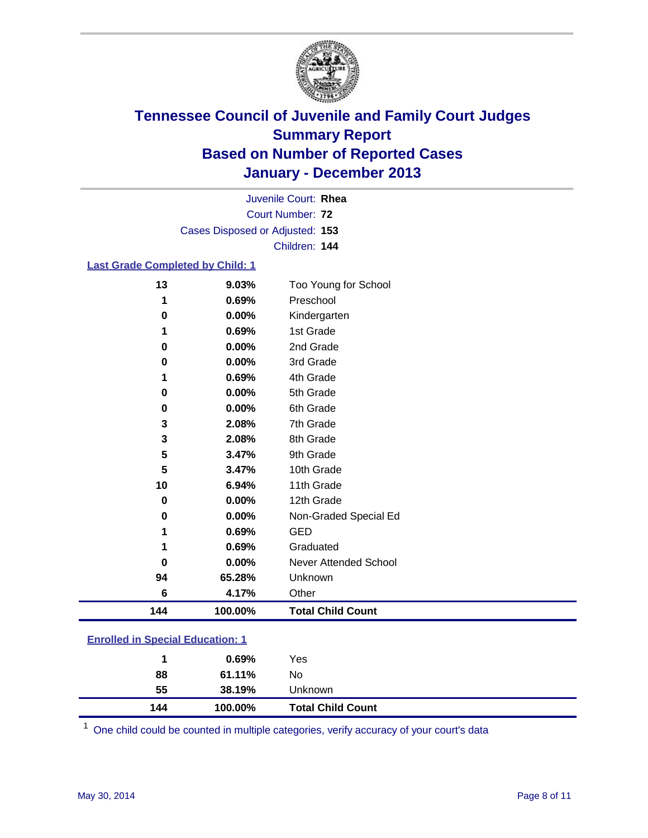

Court Number: **72** Juvenile Court: **Rhea** Cases Disposed or Adjusted: **153** Children: **144**

### **Last Grade Completed by Child: 1**

| 13       | 9.03%   | Too Young for School     |
|----------|---------|--------------------------|
| 1        | 0.69%   | Preschool                |
| $\bf{0}$ | 0.00%   | Kindergarten             |
| 1        | 0.69%   | 1st Grade                |
| 0        | 0.00%   | 2nd Grade                |
| $\bf{0}$ | 0.00%   | 3rd Grade                |
| 1        | 0.69%   | 4th Grade                |
| 0        | 0.00%   | 5th Grade                |
| $\bf{0}$ | 0.00%   | 6th Grade                |
| 3        | 2.08%   | 7th Grade                |
| 3        | 2.08%   | 8th Grade                |
| 5        | 3.47%   | 9th Grade                |
| 5        | 3.47%   | 10th Grade               |
| 10       | 6.94%   | 11th Grade               |
| 0        | 0.00%   | 12th Grade               |
| $\bf{0}$ | 0.00%   | Non-Graded Special Ed    |
| 1        | 0.69%   | <b>GED</b>               |
| 1        | 0.69%   | Graduated                |
| 0        | 0.00%   | Never Attended School    |
| 94       | 65.28%  | Unknown                  |
| 6        | 4.17%   | Other                    |
| 144      | 100.00% | <b>Total Child Count</b> |

| <b>Enrolled in Special Education: 1</b> |  |
|-----------------------------------------|--|
|                                         |  |

| 55<br>144 | 38.19%<br>100.00% | Unknown<br><b>Total Child Count</b> |  |
|-----------|-------------------|-------------------------------------|--|
| 88        | 61.11%            | No                                  |  |
|           | 0.69%             | Yes                                 |  |

One child could be counted in multiple categories, verify accuracy of your court's data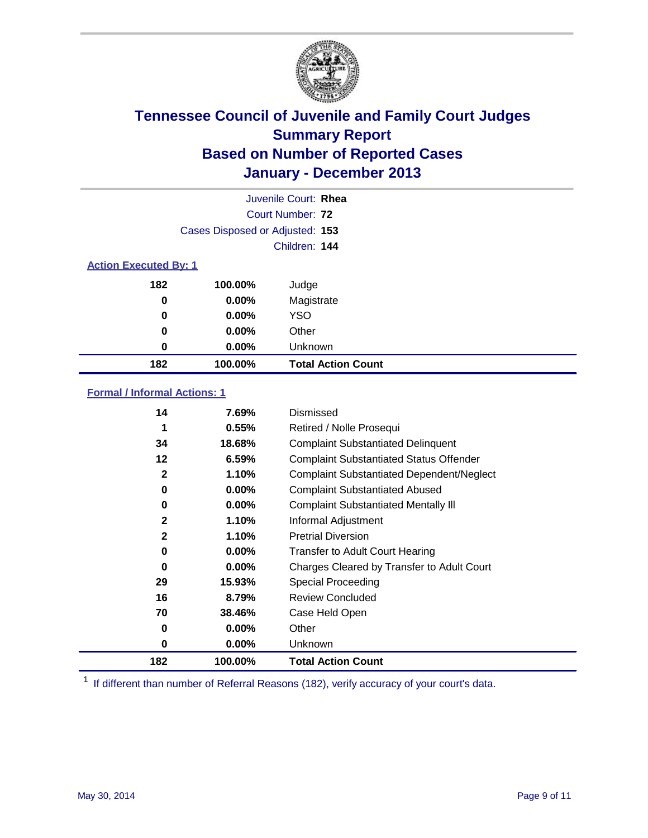

|                              |                                 | Juvenile Court: Rhea      |
|------------------------------|---------------------------------|---------------------------|
|                              |                                 | Court Number: 72          |
|                              | Cases Disposed or Adjusted: 153 |                           |
|                              |                                 | Children: 144             |
| <b>Action Executed By: 1</b> |                                 |                           |
| 182                          | 100.00%                         | Judge                     |
| 0                            | $0.00\%$                        | Magistrate                |
| $\bf{0}$                     | $0.00\%$                        | <b>YSO</b>                |
| 0                            | $0.00\%$                        | Other                     |
| 0                            | $0.00\%$                        | Unknown                   |
| 182                          | 100.00%                         | <b>Total Action Count</b> |

### **Formal / Informal Actions: 1**

| 14           | 7.69%    | Dismissed                                        |
|--------------|----------|--------------------------------------------------|
| 1            | 0.55%    | Retired / Nolle Prosequi                         |
| 34           | 18.68%   | <b>Complaint Substantiated Delinquent</b>        |
| 12           | 6.59%    | <b>Complaint Substantiated Status Offender</b>   |
| $\mathbf{2}$ | 1.10%    | <b>Complaint Substantiated Dependent/Neglect</b> |
| 0            | $0.00\%$ | <b>Complaint Substantiated Abused</b>            |
| 0            | $0.00\%$ | <b>Complaint Substantiated Mentally III</b>      |
| $\mathbf{2}$ | 1.10%    | Informal Adjustment                              |
| $\mathbf{2}$ | 1.10%    | <b>Pretrial Diversion</b>                        |
| 0            | $0.00\%$ | <b>Transfer to Adult Court Hearing</b>           |
| 0            | $0.00\%$ | Charges Cleared by Transfer to Adult Court       |
| 29           | 15.93%   | Special Proceeding                               |
| 16           | 8.79%    | <b>Review Concluded</b>                          |
| 70           | 38.46%   | Case Held Open                                   |
| 0            | $0.00\%$ | Other                                            |
| 0            | $0.00\%$ | <b>Unknown</b>                                   |
| 182          | 100.00%  | <b>Total Action Count</b>                        |

<sup>1</sup> If different than number of Referral Reasons (182), verify accuracy of your court's data.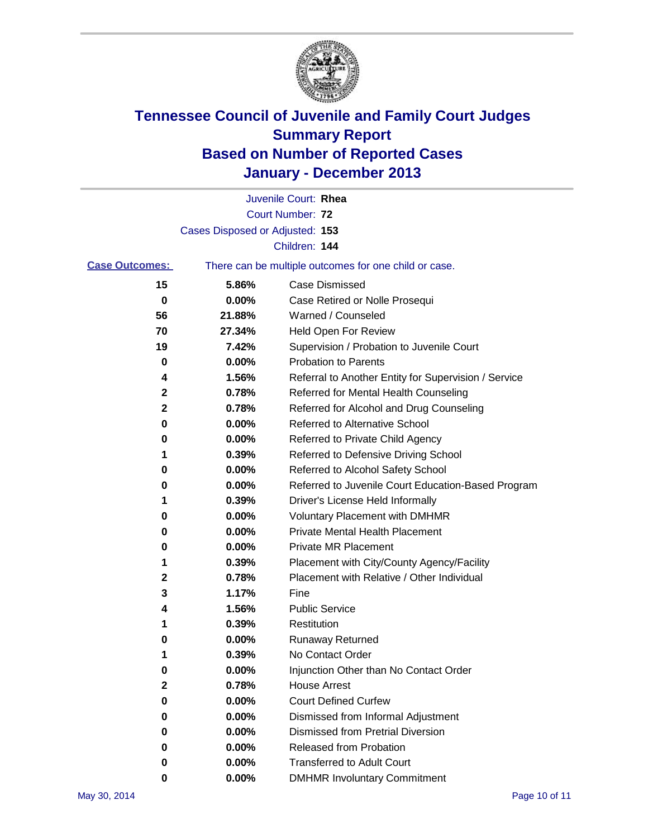

|                       |                                 | Juvenile Court: Rhea                                  |
|-----------------------|---------------------------------|-------------------------------------------------------|
|                       |                                 | <b>Court Number: 72</b>                               |
|                       | Cases Disposed or Adjusted: 153 |                                                       |
|                       |                                 | Children: 144                                         |
| <b>Case Outcomes:</b> |                                 | There can be multiple outcomes for one child or case. |
| 15                    | 5.86%                           | <b>Case Dismissed</b>                                 |
| 0                     | 0.00%                           | Case Retired or Nolle Prosequi                        |
| 56                    | 21.88%                          | Warned / Counseled                                    |
| 70                    | 27.34%                          | Held Open For Review                                  |
| 19                    | 7.42%                           | Supervision / Probation to Juvenile Court             |
| 0                     | 0.00%                           | <b>Probation to Parents</b>                           |
| 4                     | 1.56%                           | Referral to Another Entity for Supervision / Service  |
| 2                     | 0.78%                           | Referred for Mental Health Counseling                 |
| $\mathbf 2$           | 0.78%                           | Referred for Alcohol and Drug Counseling              |
| 0                     | 0.00%                           | <b>Referred to Alternative School</b>                 |
| 0                     | 0.00%                           | Referred to Private Child Agency                      |
| 1                     | 0.39%                           | Referred to Defensive Driving School                  |
| 0                     | 0.00%                           | Referred to Alcohol Safety School                     |
| 0                     | 0.00%                           | Referred to Juvenile Court Education-Based Program    |
| 1                     | 0.39%                           | Driver's License Held Informally                      |
| 0                     | 0.00%                           | <b>Voluntary Placement with DMHMR</b>                 |
| 0                     | 0.00%                           | Private Mental Health Placement                       |
| 0                     | 0.00%                           | <b>Private MR Placement</b>                           |
| 1                     | 0.39%                           | Placement with City/County Agency/Facility            |
| 2                     | 0.78%                           | Placement with Relative / Other Individual            |
| 3                     | 1.17%                           | Fine                                                  |
| 4                     | 1.56%                           | <b>Public Service</b>                                 |
| 1                     | 0.39%                           | Restitution                                           |
| 0                     | 0.00%                           | <b>Runaway Returned</b>                               |
| 1                     | 0.39%                           | No Contact Order                                      |
| 0                     | 0.00%                           | Injunction Other than No Contact Order                |
| 2                     | 0.78%                           | <b>House Arrest</b>                                   |
| 0                     | 0.00%                           | <b>Court Defined Curfew</b>                           |
| 0                     | 0.00%                           | Dismissed from Informal Adjustment                    |
| 0                     | 0.00%                           | <b>Dismissed from Pretrial Diversion</b>              |
| 0                     | 0.00%                           | Released from Probation                               |
| 0                     | 0.00%                           | <b>Transferred to Adult Court</b>                     |
| 0                     | $0.00\%$                        | <b>DMHMR Involuntary Commitment</b>                   |